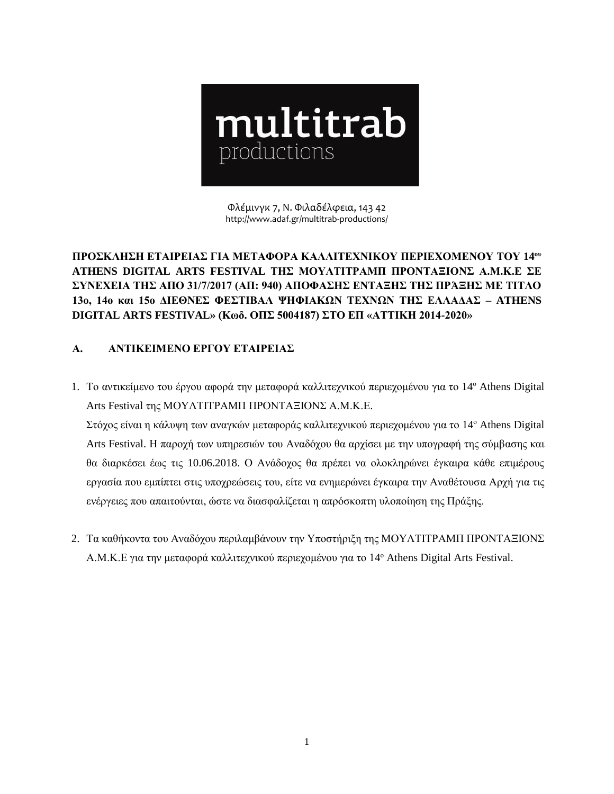

Φλέμινγκ 7, Ν. Φιλαδέλφεια, 143 42 http://www.adaf.gr/multitrab-productions/

**ΠΡΟΣΚΛΗΣΗ ΕΤΑΙΡΕΙΑΣ ΓΙΑ ΜΕΤΑΦΟΡΑ ΚΑΛΛΙΤΕΧΝΙΚΟΥ ΠΕΡΙΕΧΟΜΕΝΟΥ ΤΟΥ 14 ου ATHENS DIGITAL ARTS FESTIVAL ΤΗΣ ΜΟΥΛΤΙΤΡΑΜΠ ΠΡΟΝΤΑΞΙΟΝΣ Α.Μ.Κ.Ε ΣΕ ΣΥΝΕΧΕΙΑ ΤΗΣ ΑΠΟ 31/7/2017 (ΑΠ: 940) ΑΠΟΦΑΣΗΣ ΕΝΤΑΞΗΣ ΤΗΣ ΠΡΆΞΗΣ ΜΕ ΤΙΤΛΟ 13ο, 14ο και 15ο ΔΙΕΘΝΕΣ ΦΕΣΤΙΒΑΛ ΨΗΦΙΑΚΩΝ ΤΕΧΝΩΝ ΤΗΣ ΕΛΛΑΔΑΣ – ATHENS DIGITAL ARTS FESTIVAL» (Κωδ. ΟΠΣ 5004187) ΣΤΟ ΕΠ «ΑΤΤΙΚΗ 2014-2020»** 

## **Α. ΑΝΤΙΚΕΙΜΕΝΟ ΕΡΓΟΥ ΕΤΑΙΡΕΙΑΣ**

1. Το αντικείμενο του έργου αφορά την μεταφορά καλλιτεχνικού περιεχομένου για το 14 <sup>ο</sup> Athens Digital Arts Festival της ΜΟΥΛΤΙΤΡΑΜΠ ΠΡΟΝΤΑΞΙΟΝΣ Α.Μ.Κ.Ε.

Στόχος είναι η κάλυψη των αναγκών μεταφοράς καλλιτεχνικού περιεχομένου για το 14 <sup>ο</sup> Athens Digital Arts Festival. Η παροχή των υπηρεσιών του Αναδόχου θα αρχίσει με την υπογραφή της σύμβασης και θα διαρκέσει έως τις 10.06.2018. Ο Ανάδοχος θα πρέπει να ολοκληρώνει έγκαιρα κάθε επιμέρους εργασία που εμπίπτει στις υποχρεώσεις του, είτε να ενημερώνει έγκαιρα την Αναθέτουσα Αρχή για τις ενέργειες που απαιτούνται, ώστε να διασφαλίζεται η απρόσκοπτη υλοποίηση της Πράξης.

2. Τα καθήκοντα του Αναδόχου περιλαμβάνουν την Υποστήριξη της ΜΟΥΛΤΙΤΡΑΜΠ ΠΡΟΝΤΑΞΙΟΝΣ Α.Μ.Κ.Ε για την μεταφορά καλλιτεχνικού περιεχομένου για το 14 <sup>ο</sup> Athens Digital Arts Festival.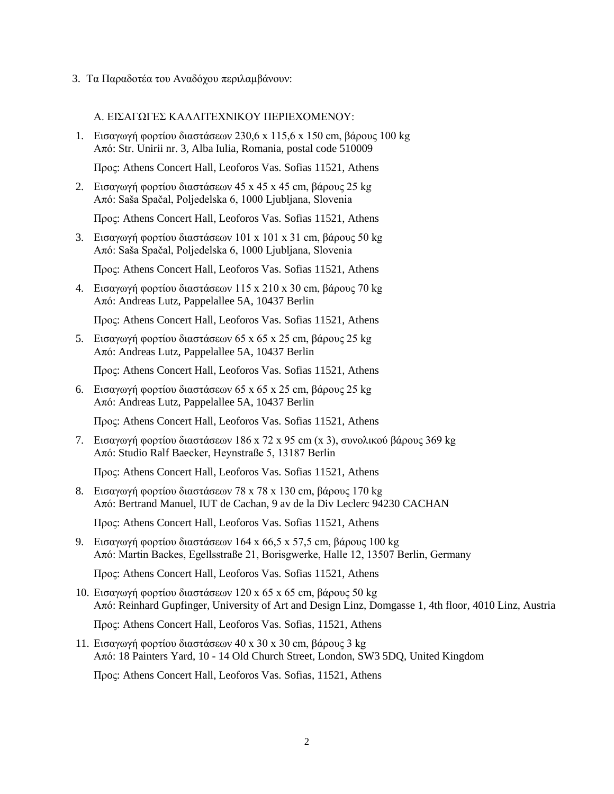3. Τα Παραδοτέα του Αναδόχου περιλαμβάνουν:

## Α. ΕΙΣΑΓΩΓΕΣ ΚΑΛΛΙΤΕΧΝΙΚΟΥ ΠΕΡΙΕΧΟΜΕΝΟΥ:

1. Εισαγωγή φορτίου διαστάσεων 230,6 x 115,6 x 150 cm, βάρους 100 kg Από: Str. Unirii nr. 3, Alba Iulia, Romania, postal code 510009

Προς: Athens Concert Hall, Leoforos Vas. Sofias 11521, Athens

2. Εισαγωγή φορτίου διαστάσεων 45 x 45 x 45 cm, βάρους 25 kg Από: Saša Spačal, Poljedelska 6, 1000 Ljubljana, Slovenia

Προς: Athens Concert Hall, Leoforos Vas. Sofias 11521, Athens

3. Εισαγωγή φορτίου διαστάσεων 101 x 101 x 31 cm, βάρους 50 kg Από: Saša Spačal, Poljedelska 6, 1000 Ljubljana, Slovenia

Προς: Athens Concert Hall, Leoforos Vas. Sofias 11521, Athens

4. Εισαγωγή φορτίου διαστάσεων 115 x 210 x 30 cm, βάρους 70 kg Από: Andreas Lutz, Pappelallee 5A, 10437 Berlin

Προς: Athens Concert Hall, Leoforos Vas. Sofias 11521, Athens

5. Εισαγωγή φορτίου διαστάσεων 65 x 65 x 25 cm, βάρους 25 kg Από: Andreas Lutz, Pappelallee 5A, 10437 Berlin

Προς: Athens Concert Hall, Leoforos Vas. Sofias 11521, Athens

6. Εισαγωγή φορτίου διαστάσεων 65 x 65 x 25 cm, βάρους 25 kg Από: Andreas Lutz, Pappelallee 5A, 10437 Berlin

Προς: Athens Concert Hall, Leoforos Vas. Sofias 11521, Athens

7. Εισαγωγή φορτίου διαστάσεων 186 x 72 x 95 cm (x 3), συνολικού βάρους 369 kg Από: Studio Ralf Baecker, Heynstraße 5, 13187 Berlin

Προς: Athens Concert Hall, Leoforos Vas. Sofias 11521, Athens

8. Εισαγωγή φορτίου διαστάσεων 78 x 78 x 130 cm, βάρους 170 kg Από: Bertrand Manuel, IUT de Cachan, 9 av de la Div Leclerc 94230 CACHAN

Προς: Athens Concert Hall, Leoforos Vas. Sofias 11521, Athens

9. Εισαγωγή φορτίου διαστάσεων 164 x 66,5 x 57,5 cm, βάρους 100 kg Από: Martin Backes, Egellsstraße 21, Borisgwerke, Halle 12, 13507 Berlin, Germany

Προς: Athens Concert Hall, Leoforos Vas. Sofias 11521, Athens

10. Εισαγωγή φορτίου διαστάσεων 120 x 65 x 65 cm, βάρους 50 kg Από: Reinhard Gupfinger, University of Art and Design Linz, Domgasse 1, 4th floor, 4010 Linz, Austria

Προς: Athens Concert Hall, Leoforos Vas. Sofias, 11521, Athens

11. Εισαγωγή φορτίου διαστάσεων 40 x 30 x 30 cm, βάρους 3 kg Από: 18 Painters Yard, 10 - 14 Old Church Street, London, SW3 5DQ, United Kingdom

Πρoς: Athens Concert Hall, Leoforos Vas. Sofias, 11521, Athens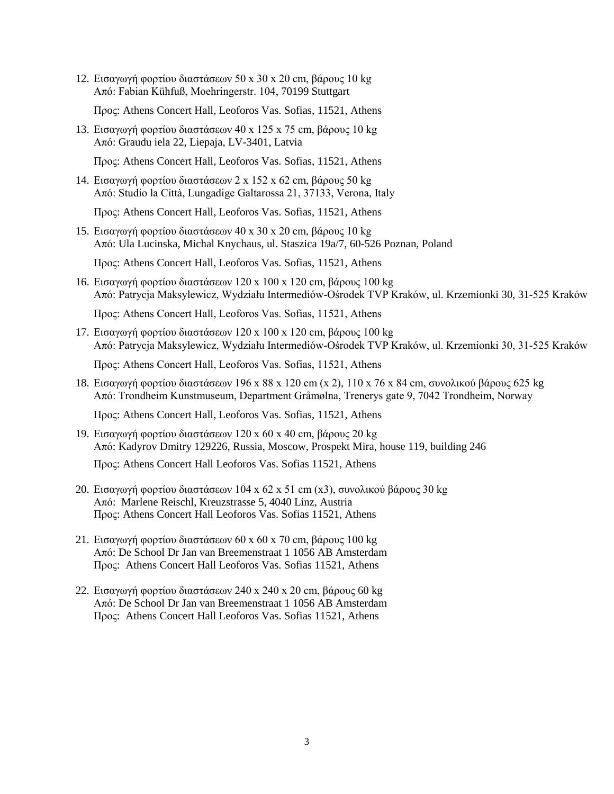12. Εισαγωγή φορτίου διαστάσεων 50 x 30 x 20 cm, βάρους 10 kg Από: Fabian Kühfuß, Moehringerstr. 104, 70199 Stuttgart

Πρoς: Athens Concert Hall, Leoforos Vas. Sofias, 11521, Athens

13. Εισαγωγή φορτίου διαστάσεων 40 x 125 x 75 cm, βάρους 10 kg Από: Graudu iela 22, Liepaja, LV-3401, Latvia

Προς: Athens Concert Hall, Leoforos Vas. Sofias, 11521, Athens

14. Εισαγωγή φορτίου διαστάσεων 2 x 152 x 62 cm, βάρους 50 kg Από: Studio la Città, Lungadige Galtarossa 21, 37133, Verona, Italy

Προς: Athens Concert Hall, Leoforos Vas. Sofias, 11521, Athens

15. Εισαγωγή φορτίου διαστάσεων 40 x 30 x 20 cm, βάρους 10 kg Από: Ula Lucinska, Michal Knychaus, ul. Staszica 19a/7, 60-526 Poznan, Poland

Προς: Athens Concert Hall, Leoforos Vas. Sofias, 11521, Athens

16. Εισαγωγή φορτίου διαστάσεων 120 x 100 x 120 cm, βάρους 100 kg Από: Patrycja Maksylewicz, Wydziału Intermediów-Ośrodek TVP Kraków, ul. Krzemionki 30, 31-525 Kraków

Προς: Athens Concert Hall, Leoforos Vas. Sofias, 11521, Athens

17. Εισαγωγή φορτίου διαστάσεων 120 x 100 x 120 cm, βάρους 100 kg Από: Patrycja Maksylewicz, Wydziału Intermediów-Ośrodek TVP Kraków, ul. Krzemionki 30, 31-525 Kraków

Προς: Athens Concert Hall, Leoforos Vas. Sofias, 11521, Athens

18. Εισαγωγή φορτίου διαστάσεων 196 x 88 x 120 cm (x 2), 110 x 76 x 84 cm, συνολικού βάρους 625 kg Από: Trondheim Kunstmuseum, Department Gråmølna, Trenerys gate 9, 7042 Trondheim, Norway

Προς: Athens Concert Hall, Leoforos Vas. Sofias, 11521, Athens

- 19. Εισαγωγή φορτίου διαστάσεων 120 x 60 x 40 cm, βάρους 20 kg Από: Kadyrov Dmitry 129226, Russia, Moscow, Prospekt Mira, house 119, building 246 Προς: Athens Concert Hall Leoforos Vas. Sofias 11521, Athens
- 20. Εισαγωγή φορτίου διαστάσεων 104 x 62 x 51 cm (x3), συνολικού βάρους 30 kg Από: Marlene Reischl, Kreuzstrasse 5, 4040 Linz, Austria Προς: Athens Concert Hall Leoforos Vas. Sofias 11521, Athens
- 21. Εισαγωγή φορτίου διαστάσεων 60 x 60 x 70 cm, βάρους 100 kg Από: De School [Dr Jan van Breemenstraat 1 1056 AB Amsterdam](https://maps.google.com/?q=Dr+Jan+van+Breemenstraat+1+1056+AB+Amsterdam&entry=gmail&source=g) Προς: Athens Concert Hall Leoforos Vas. Sofias 11521, Athens
- 22. Εισαγωγή φορτίου διαστάσεων 240 x 240 x 20 cm, βάρους 60 kg Από: De School [Dr Jan van Breemenstraat 1 1056 AB Amsterdam](https://maps.google.com/?q=Dr+Jan+van+Breemenstraat+1+1056+AB+Amsterdam&entry=gmail&source=g) Προς: Athens Concert Hall Leoforos Vas. Sofias 11521, Athens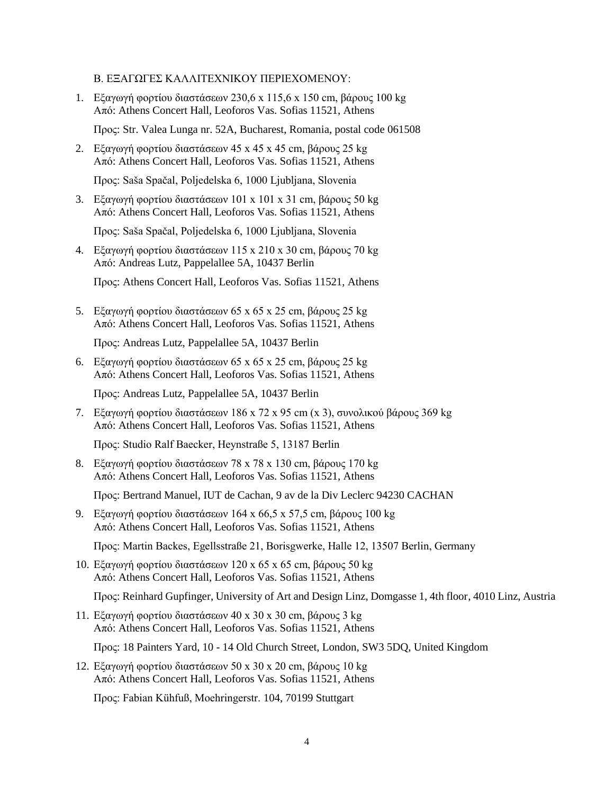Β. ΕΞΑΓΩΓΕΣ ΚΑΛΛΙΤΕΧΝΙΚΟΥ ΠΕΡΙΕΧΟΜΕΝΟΥ:

1. Εξαγωγή φορτίου διαστάσεων 230,6 x 115,6 x 150 cm, βάρους 100 kg Από: Athens Concert Hall, Leoforos Vas. Sofias 11521, Athens

Προς: Str. Valea Lunga nr. 52A, Bucharest, Romania, postal code 061508

2. Εξαγωγή φορτίου διαστάσεων 45 x 45 x 45 cm, βάρους 25 kg Από: Athens Concert Hall, Leoforos Vas. Sofias 11521, Athens

Προς: Saša Spačal, Poljedelska 6, 1000 Ljubljana, Slovenia

3. Εξαγωγή φορτίου διαστάσεων 101 x 101 x 31 cm, βάρους 50 kg Από: Athens Concert Hall, Leoforos Vas. Sofias 11521, Athens

Προς: Saša Spačal, Poljedelska 6, 1000 Ljubljana, Slovenia

4. Εξαγωγή φορτίου διαστάσεων 115 x 210 x 30 cm, βάρους 70 kg Από: Andreas Lutz, Pappelallee 5A, 10437 Berlin

Προς: Athens Concert Hall, Leoforos Vas. Sofias 11521, Athens

5. Εξαγωγή φορτίου διαστάσεων 65 x 65 x 25 cm, βάρους 25 kg Από: Athens Concert Hall, Leoforos Vas. Sofias 11521, Athens

Προς: Andreas Lutz, Pappelallee 5A, 10437 Berlin

6. Εξαγωγή φορτίου διαστάσεων 65 x 65 x 25 cm, βάρους 25 kg Από: Athens Concert Hall, Leoforos Vas. Sofias 11521, Athens

Προς: Andreas Lutz, Pappelallee 5A, 10437 Berlin

7. Εξαγωγή φορτίου διαστάσεων 186 x 72 x 95 cm (x 3), συνολικού βάρους 369 kg Από: Athens Concert Hall, Leoforos Vas. Sofias 11521, Athens

Προς: Studio Ralf Baecker, Heynstraße 5, 13187 Berlin

8. Εξαγωγή φορτίου διαστάσεων 78 x 78 x 130 cm, βάρους 170 kg Από: Athens Concert Hall, Leoforos Vas. Sofias 11521, Athens

Προς: Bertrand Manuel, IUT de Cachan, 9 av de la Div Leclerc 94230 CACHAN

9. Εξαγωγή φορτίου διαστάσεων 164 x 66,5 x 57,5 cm, βάρους 100 kg Από: Athens Concert Hall, Leoforos Vas. Sofias 11521, Athens

Προς: Martin Backes, Egellsstraße 21, Borisgwerke, Halle 12, 13507 Berlin, Germany

10. Εξαγωγή φορτίου διαστάσεων 120 x 65 x 65 cm, βάρους 50 kg Από: Athens Concert Hall, Leoforos Vas. Sofias 11521, Athens

Προς: Reinhard Gupfinger, University of Art and Design Linz, Domgasse 1, 4th floor, 4010 Linz, Austria

11. Εξαγωγή φορτίου διαστάσεων 40 x 30 x 30 cm, βάρους 3 kg Από: Athens Concert Hall, Leoforos Vas. Sofias 11521, Athens

Πρoς: 18 Painters Yard, 10 - 14 Old Church Street, London, SW3 5DQ, United Kingdom

12. Εξαγωγή φορτίου διαστάσεων 50 x 30 x 20 cm, βάρους 10 kg Από: Athens Concert Hall, Leoforos Vas. Sofias 11521, Athens

Πρoς: Fabian Kühfuß, Moehringerstr. 104, 70199 Stuttgart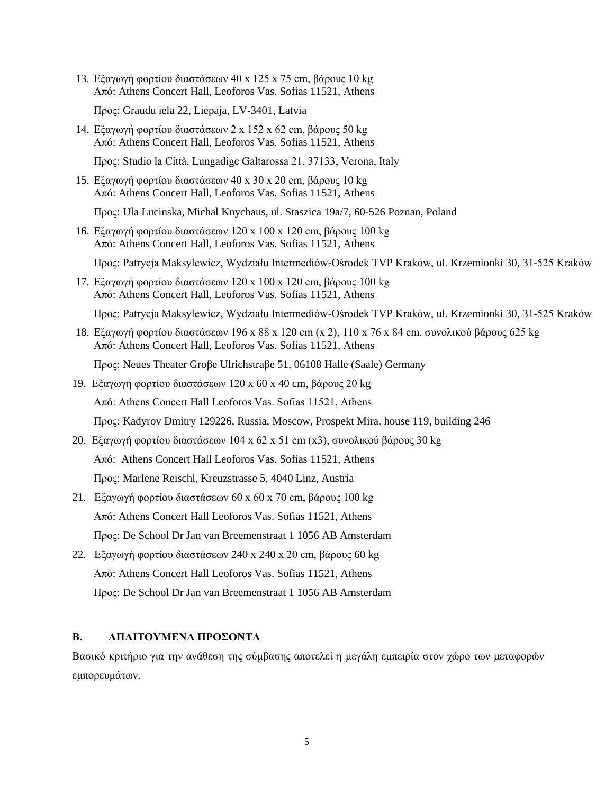13. Εξαγωγή φορτίου διαστάσεων 40 x 125 x 75 cm, βάρους 10 kg Από: Athens Concert Hall, Leoforos Vas. Sofias 11521, Athens

Προς: Graudu iela 22, Liepaja, LV-3401, Latvia

14. Εξαγωγή φορτίου διαστάσεων 2 x 152 x 62 cm, βάρους 50 kg Από: Athens Concert Hall, Leoforos Vas. Sofias 11521, Athens

Προς: Studio la Città, Lungadige Galtarossa 21, 37133, Verona, Italy

15. Εξαγωγή φορτίου διαστάσεων 40 x 30 x 20 cm, βάρους 10 kg Από: Athens Concert Hall, Leoforos Vas. Sofias 11521, Athens

Προς: Ula Lucinska, Michal Knychaus, ul. Staszica 19a/7, 60-526 Poznan, Poland

16. Εξαγωγή φορτίου διαστάσεων 120 x 100 x 120 cm, βάρους 100 kg Από: Athens Concert Hall, Leoforos Vas. Sofias 11521, Athens

Προς: Patrycja Maksylewicz, Wydziału Intermediów-Ośrodek TVP Kraków, ul. Krzemionki 30, 31-525 Kraków

17. Εξαγωγή φορτίου διαστάσεων 120 x 100 x 120 cm, βάρους 100 kg Από: Athens Concert Hall, Leoforos Vas. Sofias 11521, Athens

Προς: Patrycja Maksylewicz, Wydziału Intermediów-Ośrodek TVP Kraków, ul. Krzemionki 30, 31-525 Kraków

18. Εξαγωγή φορτίου διαστάσεων 196 x 88 x 120 cm (x 2), 110 x 76 x 84 cm, συνολικού βάρους 625 kg Από: Athens Concert Hall, Leoforos Vas. Sofias 11521, Athens

Προς: Neues Theater Groβe Ulrichstraβe 51, 06108 Halle (Saale) Germany

19. Εξαγωγή φορτίου διαστάσεων 120 x 60 x 40 cm, βάρους 20 kg

Από: Athens Concert Hall Leoforos Vas. Sofias 11521, Athens

Προς: Kadyrov Dmitry 129226, Russia, Moscow, Prospekt Mira, house 119, building 246

20. Εξαγωγή φορτίου διαστάσεων 104 x 62 x 51 cm (x3), συνολικού βάρους 30 kg

Από: Athens Concert Hall Leoforos Vas. Sofias 11521, Athens

Προς: Marlene Reischl, Kreuzstrasse 5, 4040 Linz, Austria

- 21. Εξαγωγή φορτίου διαστάσεων 60 x 60 x 70 cm, βάρους 100 kg Από: Athens Concert Hall Leoforos Vas. Sofias 11521, Athens Προς: De School [Dr Jan van Breemenstraat 1 1056 AB Amsterdam](https://maps.google.com/?q=Dr+Jan+van+Breemenstraat+1+1056+AB+Amsterdam&entry=gmail&source=g)
- 22. Εξαγωγή φορτίου διαστάσεων 240 x 240 x 20 cm, βάρους 60 kg Από: Athens Concert Hall Leoforos Vas. Sofias 11521, Athens Προς: De School [Dr Jan van Breemenstraat 1 1056 AB Amsterdam](https://maps.google.com/?q=Dr+Jan+van+Breemenstraat+1+1056+AB+Amsterdam&entry=gmail&source=g)

## **Β. ΑΠΑΙΤΟΥΜΕΝΑ ΠΡΟΣΟΝΤΑ**

Βασικό κριτήριο για την ανάθεση της σύμβασης αποτελεί η μεγάλη εμπειρία στον χώρο των μεταφορών εμπορευμάτων.